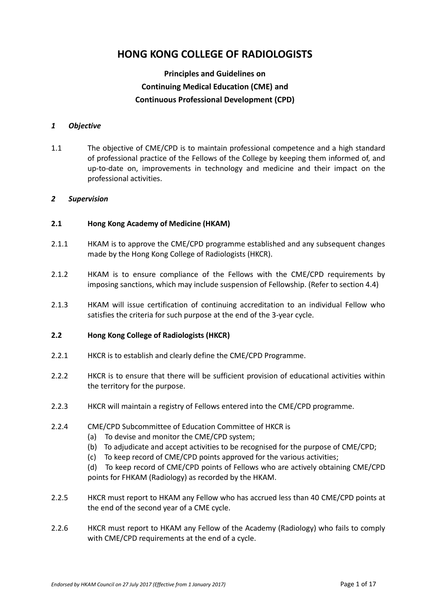# **HONG KONG COLLEGE OF RADIOLOGISTS**

## **Principles and Guidelines on Continuing Medical Education (CME) and Continuous Professional Development (CPD)**

#### *1 Objective*

1.1 The objective of CME/CPD is to maintain professional competence and a high standard of professional practice of the Fellows of the College by keeping them informed of, and up-to-date on, improvements in technology and medicine and their impact on the professional activities.

#### *2 Supervision*

#### **2.1 Hong Kong Academy of Medicine (HKAM)**

- 2.1.1 HKAM is to approve the CME/CPD programme established and any subsequent changes made by the Hong Kong College of Radiologists (HKCR).
- 2.1.2 HKAM is to ensure compliance of the Fellows with the CME/CPD requirements by imposing sanctions, which may include suspension of Fellowship. (Refer to section 4.4)
- 2.1.3 HKAM will issue certification of continuing accreditation to an individual Fellow who satisfies the criteria for such purpose at the end of the 3-year cycle.

#### **2.2 Hong Kong College of Radiologists (HKCR)**

- 2.2.1 HKCR is to establish and clearly define the CME/CPD Programme.
- 2.2.2 HKCR is to ensure that there will be sufficient provision of educational activities within the territory for the purpose.
- 2.2.3 HKCR will maintain a registry of Fellows entered into the CME/CPD programme.
- 2.2.4 CME/CPD Subcommittee of Education Committee of HKCR is
	- (a) To devise and monitor the CME/CPD system;
	- (b) To adjudicate and accept activities to be recognised for the purpose of CME/CPD;
	- (c) To keep record of CME/CPD points approved for the various activities;
	- (d) To keep record of CME/CPD points of Fellows who are actively obtaining CME/CPD points for FHKAM (Radiology) as recorded by the HKAM.
- 2.2.5 HKCR must report to HKAM any Fellow who has accrued less than 40 CME/CPD points at the end of the second year of a CME cycle.
- 2.2.6 HKCR must report to HKAM any Fellow of the Academy (Radiology) who fails to comply with CME/CPD requirements at the end of a cycle.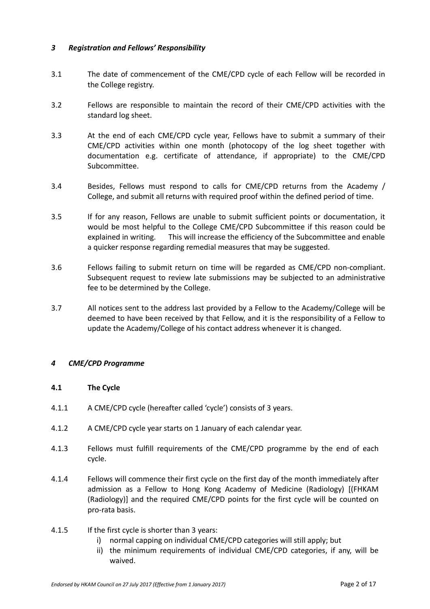#### *3 Registration and Fellows' Responsibility*

- 3.1 The date of commencement of the CME/CPD cycle of each Fellow will be recorded in the College registry.
- 3.2 Fellows are responsible to maintain the record of their CME/CPD activities with the standard log sheet.
- 3.3 At the end of each CME/CPD cycle year, Fellows have to submit a summary of their CME/CPD activities within one month (photocopy of the log sheet together with documentation e.g. certificate of attendance, if appropriate) to the CME/CPD Subcommittee.
- 3.4 Besides, Fellows must respond to calls for CME/CPD returns from the Academy / College, and submit all returns with required proof within the defined period of time.
- 3.5 If for any reason, Fellows are unable to submit sufficient points or documentation, it would be most helpful to the College CME/CPD Subcommittee if this reason could be explained in writing. This will increase the efficiency of the Subcommittee and enable a quicker response regarding remedial measures that may be suggested.
- 3.6 Fellows failing to submit return on time will be regarded as CME/CPD non-compliant. Subsequent request to review late submissions may be subjected to an administrative fee to be determined by the College.
- 3.7 All notices sent to the address last provided by a Fellow to the Academy/College will be deemed to have been received by that Fellow, and it is the responsibility of a Fellow to update the Academy/College of his contact address whenever it is changed.

#### *4 CME/CPD Programme*

#### **4.1 The Cycle**

- 4.1.1 A CME/CPD cycle (hereafter called 'cycle') consists of 3 years.
- 4.1.2 A CME/CPD cycle year starts on 1 January of each calendar year.
- 4.1.3 Fellows must fulfill requirements of the CME/CPD programme by the end of each cycle.
- 4.1.4 Fellows will commence their first cycle on the first day of the month immediately after admission as a Fellow to Hong Kong Academy of Medicine (Radiology) [(FHKAM (Radiology)] and the required CME/CPD points for the first cycle will be counted on pro-rata basis.
- 4.1.5 If the first cycle is shorter than 3 years:
	- i) normal capping on individual CME/CPD categories will still apply; but
	- ii) the minimum requirements of individual CME/CPD categories, if any, will be waived.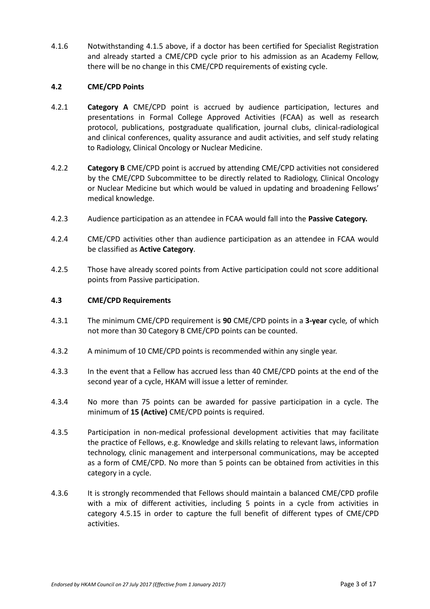4.1.6 Notwithstanding 4.1.5 above, if a doctor has been certified for Specialist Registration and already started a CME/CPD cycle prior to his admission as an Academy Fellow, there will be no change in this CME/CPD requirements of existing cycle.

#### **4.2 CME/CPD Points**

- 4.2.1 **Category A** CME/CPD point is accrued by audience participation, lectures and presentations in Formal College Approved Activities (FCAA) as well as research protocol, publications, postgraduate qualification, journal clubs, clinical-radiological and clinical conferences, quality assurance and audit activities, and self study relating to Radiology, Clinical Oncology or Nuclear Medicine.
- 4.2.2 **Category B** CME/CPD point is accrued by attending CME/CPD activities not considered by the CME/CPD Subcommittee to be directly related to Radiology, Clinical Oncology or Nuclear Medicine but which would be valued in updating and broadening Fellows' medical knowledge.
- 4.2.3 Audience participation as an attendee in FCAA would fall into the **Passive Category.**
- 4.2.4 CME/CPD activities other than audience participation as an attendee in FCAA would be classified as **Active Category**.
- 4.2.5 Those have already scored points from Active participation could not score additional points from Passive participation.

#### **4.3 CME/CPD Requirements**

- 4.3.1 The minimum CME/CPD requirement is **90** CME/CPD points in a **3-year** cycle*,* of which not more than 30 Category B CME/CPD points can be counted.
- 4.3.2 A minimum of 10 CME/CPD points is recommended within any single year.
- 4.3.3 In the event that a Fellow has accrued less than 40 CME/CPD points at the end of the second year of a cycle, HKAM will issue a letter of reminder.
- 4.3.4 No more than 75 points can be awarded for passive participation in a cycle. The minimum of **15 (Active)** CME/CPD points is required.
- 4.3.5 Participation in non-medical professional development activities that may facilitate the practice of Fellows, e.g. Knowledge and skills relating to relevant laws, information technology, clinic management and interpersonal communications, may be accepted as a form of CME/CPD. No more than 5 points can be obtained from activities in this category in a cycle.
- 4.3.6 It is strongly recommended that Fellows should maintain a balanced CME/CPD profile with a mix of different activities, including 5 points in a cycle from activities in category 4.5.15 in order to capture the full benefit of different types of CME/CPD activities.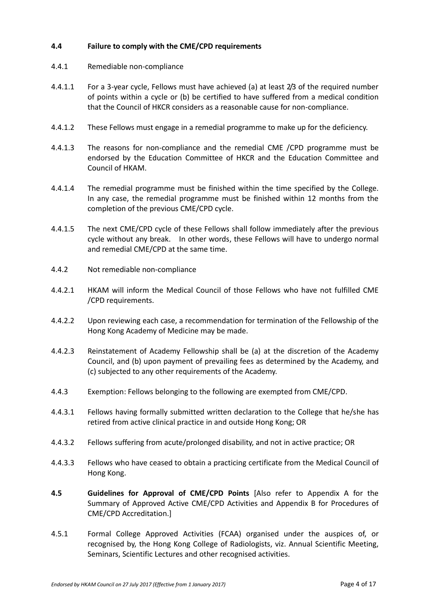#### **4.4 Failure to comply with the CME/CPD requirements**

- 4.4.1 Remediable non-compliance
- 4.4.1.1 For a 3-year cycle, Fellows must have achieved (a) at least 2/3 of the required number of points within a cycle or (b) be certified to have suffered from a medical condition that the Council of HKCR considers as a reasonable cause for non-compliance.
- 4.4.1.2 These Fellows must engage in a remedial programme to make up for the deficiency.
- 4.4.1.3 The reasons for non-compliance and the remedial CME /CPD programme must be endorsed by the Education Committee of HKCR and the Education Committee and Council of HKAM.
- 4.4.1.4 The remedial programme must be finished within the time specified by the College. In any case, the remedial programme must be finished within 12 months from the completion of the previous CME/CPD cycle.
- 4.4.1.5 The next CME/CPD cycle of these Fellows shall follow immediately after the previous cycle without any break. In other words, these Fellows will have to undergo normal and remedial CME/CPD at the same time.
- 4.4.2 Not remediable non-compliance
- 4.4.2.1 HKAM will inform the Medical Council of those Fellows who have not fulfilled CME /CPD requirements.
- 4.4.2.2 Upon reviewing each case, a recommendation for termination of the Fellowship of the Hong Kong Academy of Medicine may be made.
- 4.4.2.3 Reinstatement of Academy Fellowship shall be (a) at the discretion of the Academy Council, and (b) upon payment of prevailing fees as determined by the Academy, and (c) subjected to any other requirements of the Academy.
- 4.4.3 Exemption: Fellows belonging to the following are exempted from CME/CPD.
- 4.4.3.1 Fellows having formally submitted written declaration to the College that he/she has retired from active clinical practice in and outside Hong Kong; OR
- 4.4.3.2 Fellows suffering from acute/prolonged disability, and not in active practice; OR
- 4.4.3.3 Fellows who have ceased to obtain a practicing certificate from the Medical Council of Hong Kong.
- **4.5 Guidelines for Approval of CME/CPD Points** [Also refer to Appendix A for the Summary of Approved Active CME/CPD Activities and Appendix B for Procedures of CME/CPD Accreditation.]
- 4.5.1 Formal College Approved Activities (FCAA) organised under the auspices of, or recognised by, the Hong Kong College of Radiologists, viz. Annual Scientific Meeting, Seminars, Scientific Lectures and other recognised activities.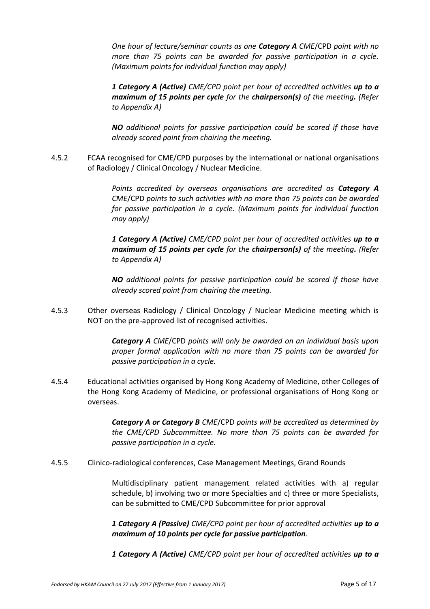*One hour of lecture/seminar counts as one Category A CME*/CPD *point with no more than 75 points can be awarded for passive participation in a cycle. (Maximum points for individual function may apply)*

*1 Category A (Active) CME/CPD point per hour of accredited activities up to a maximum of 15 points per cycle for the chairperson(s) of the meeting. (Refer to Appendix A)*

*NO additional points for passive participation could be scored if those have already scored point from chairing the meeting.*

4.5.2 FCAA recognised for CME/CPD purposes by the international or national organisations of Radiology / Clinical Oncology / Nuclear Medicine.

> *Points accredited by overseas organisations are accredited as Category A CME*/CPD *points to such activities with no more than 75 points can be awarded for passive participation in a cycle. (Maximum points for individual function may apply)*

> *1 Category A (Active) CME/CPD point per hour of accredited activities up to a maximum of 15 points per cycle for the chairperson(s) of the meeting. (Refer to Appendix A)*

> *NO additional points for passive participation could be scored if those have already scored point from chairing the meeting.*

4.5.3 Other overseas Radiology / Clinical Oncology / Nuclear Medicine meeting which is NOT on the pre-approved list of recognised activities.

> *Category A CME*/CPD *points will only be awarded on an individual basis upon proper formal application with no more than 75 points can be awarded for passive participation in a cycle.*

4.5.4 Educational activities organised by Hong Kong Academy of Medicine, other Colleges of the Hong Kong Academy of Medicine, or professional organisations of Hong Kong or overseas.

> *Category A or Category B CME*/CPD *points will be accredited as determined by the CME/CPD Subcommittee. No more than 75 points can be awarded for passive participation in a cycle.*

4.5.5 Clinico-radiological conferences, Case Management Meetings, Grand Rounds

Multidisciplinary patient management related activities with a) regular schedule, b) involving two or more Specialties and c) three or more Specialists, can be submitted to CME/CPD Subcommittee for prior approval

*1 Category A (Passive) CME/CPD point per hour of accredited activities up to a maximum of 10 points per cycle for passive participation.*

*1 Category A (Active) CME/CPD point per hour of accredited activities up to a*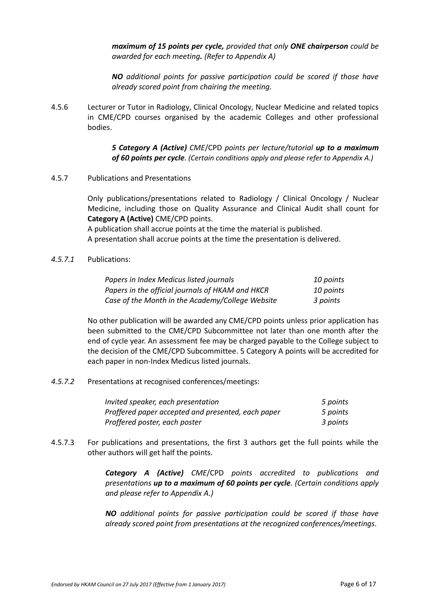*maximum of 15 points per cycle, provided that only ONE chairperson could be awarded for each meeting. (Refer to Appendix A)*

*NO additional points for passive participation could be scored if those have already scored point from chairing the meeting.*

4.5.6 Lecturer or Tutor in Radiology, Clinical Oncology, Nuclear Medicine and related topics in CME/CPD courses organised by the academic Colleges and other professional bodies.

> *5 Category A (Active) CME*/CPD *points per lecture/tutorial up to a maximum of 60 points per cycle. (Certain conditions apply and please refer to Appendix A.)*

4.5.7 Publications and Presentations

Only publications/presentations related to Radiology / Clinical Oncology / Nuclear Medicine, including those on Quality Assurance and Clinical Audit shall count for **Category A (Active)** CME/CPD points.

A publication shall accrue points at the time the material is published. A presentation shall accrue points at the time the presentation is delivered.

*4.5.7.1* Publications:

| Papers in Index Medicus listed journals          | 10 points |
|--------------------------------------------------|-----------|
| Papers in the official journals of HKAM and HKCR | 10 points |
| Case of the Month in the Academy/College Website | 3 points  |

No other publication will be awarded any CME/CPD points unless prior application has been submitted to the CME/CPD Subcommittee not later than one month after the end of cycle year. An assessment fee may be charged payable to the College subject to the decision of the CME/CPD Subcommittee. 5 Category A points will be accredited for each paper in non-Index Medicus listed journals.

*4.5.7.2* Presentations at recognised conferences/meetings:

| Invited speaker, each presentation                 | 5 points |
|----------------------------------------------------|----------|
| Proffered paper accepted and presented, each paper | 5 points |
| Proffered poster, each poster                      | 3 points |

4.5.7.3 For publications and presentations, the first 3 authors get the full points while the other authors will get half the points.

> *Category A (Active) CME*/CPD *points accredited to publications and presentations up to a maximum of 60 points per cycle. (Certain conditions apply and please refer to Appendix A.)*

> *NO additional points for passive participation could be scored if those have already scored point from presentations at the recognized conferences/meetings.*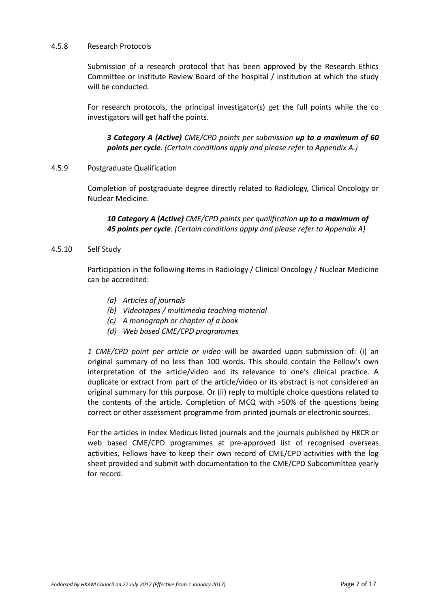#### 4.5.8 Research Protocols

Submission of a research protocol that has been approved by the Research Ethics Committee or Institute Review Board of the hospital / institution at which the study will be conducted.

For research protocols, the principal investigator(s) get the full points while the co investigators will get half the points.

*3 Category A (Active) CME/CPD points per submission up to a maximum of 60 points per cycle. (Certain conditions apply and please refer to Appendix A.)*

#### 4.5.9 Postgraduate Qualification

Completion of postgraduate degree directly related to Radiology, Clinical Oncology or Nuclear Medicine.

*10 Category A (Active) CME/CPD points per qualification up to a maximum of 45 points per cycle. (Certain conditions apply and please refer to Appendix A)*

#### 4.5.10 Self Study

Participation in the following items in Radiology / Clinical Oncology / Nuclear Medicine can be accredited:

- *(a) Articles of journals*
- *(b) Videotapes / multimedia teaching material*
- *(c) A monograph or chapter of a book*
- *(d) Web based CME/CPD programmes*

*1 CME/CPD point per article or video* will be awarded upon submission of: (i) an original summary of no less than 100 words. This should contain the Fellow's own interpretation of the article/video and its relevance to one's clinical practice. A duplicate or extract from part of the article/video or its abstract is not considered an original summary for this purpose. Or (ii) reply to multiple choice questions related to the contents of the article. Completion of MCQ with >50% of the questions being correct or other assessment programme from printed journals or electronic sources.

For the articles in Index Medicus listed journals and the journals published by HKCR or web based CME/CPD programmes at pre-approved list of recognised overseas activities, Fellows have to keep their own record of CME/CPD activities with the log sheet provided and submit with documentation to the CME/CPD Subcommittee yearly for record.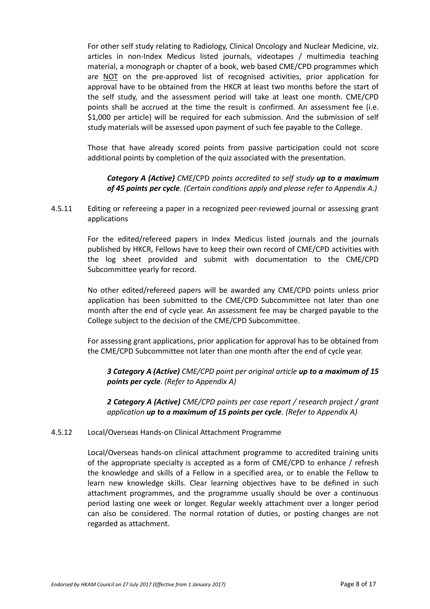For other self study relating to Radiology, Clinical Oncology and Nuclear Medicine, viz. articles in non-Index Medicus listed journals, videotapes / multimedia teaching material, a monograph or chapter of a book, web based CME/CPD programmes which are NOT on the pre-approved list of recognised activities, prior application for approval have to be obtained from the HKCR at least two months before the start of the self study, and the assessment period will take at least one month. CME/CPD points shall be accrued at the time the result is confirmed. An assessment fee (i.e. \$1,000 per article) will be required for each submission. And the submission of self study materials will be assessed upon payment of such fee payable to the College.

Those that have already scored points from passive participation could not score additional points by completion of the quiz associated with the presentation.

*Category A (Active) CME*/CPD *points accredited to self study up to a maximum of 45 points per cycle. (Certain conditions apply and please refer to Appendix A.)*

4.5.11 Editing or refereeing a paper in a recognized peer-reviewed journal or assessing grant applications

> For the edited/refereed papers in Index Medicus listed journals and the journals published by HKCR, Fellows have to keep their own record of CME/CPD activities with the log sheet provided and submit with documentation to the CME/CPD Subcommittee yearly for record.

> No other edited/refereed papers will be awarded any CME/CPD points unless prior application has been submitted to the CME/CPD Subcommittee not later than one month after the end of cycle year. An assessment fee may be charged payable to the College subject to the decision of the CME/CPD Subcommittee.

> For assessing grant applications, prior application for approval has to be obtained from the CME/CPD Subcommittee not later than one month after the end of cycle year.

*3 Category A (Active) CME/CPD point per original article up to a maximum of 15 points per cycle. (Refer to Appendix A)*

*2 Category A (Active) CME/CPD points per case report / research project / grant application up to a maximum of 15 points per cycle. (Refer to Appendix A)*

#### 4.5.12 Local/Overseas Hands-on Clinical Attachment Programme

Local/Overseas hands-on clinical attachment programme to accredited training units of the appropriate specialty is accepted as a form of CME/CPD to enhance / refresh the knowledge and skills of a Fellow in a specified area, or to enable the Fellow to learn new knowledge skills. Clear learning objectives have to be defined in such attachment programmes, and the programme usually should be over a continuous period lasting one week or longer. Regular weekly attachment over a longer period can also be considered. The normal rotation of duties, or posting changes are not regarded as attachment.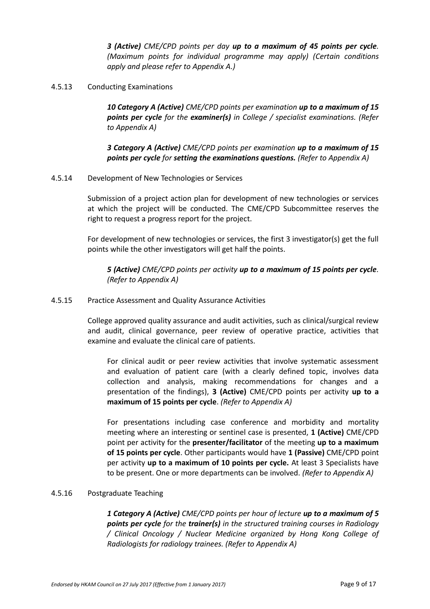*3 (Active) CME/CPD points per day up to a maximum of 45 points per cycle. (Maximum points for individual programme may apply) (Certain conditions apply and please refer to Appendix A.)*

#### 4.5.13 Conducting Examinations

*10 Category A (Active) CME/CPD points per examination up to a maximum of 15 points per cycle for the examiner(s) in College / specialist examinations. (Refer to Appendix A)*

*3 Category A (Active) CME/CPD points per examination up to a maximum of 15 points per cycle for setting the examinations questions. (Refer to Appendix A)*

#### 4.5.14 Development of New Technologies or Services

Submission of a project action plan for development of new technologies or services at which the project will be conducted. The CME/CPD Subcommittee reserves the right to request a progress report for the project.

For development of new technologies or services, the first 3 investigator(s) get the full points while the other investigators will get half the points.

*5 (Active) CME/CPD points per activity up to a maximum of 15 points per cycle. (Refer to Appendix A)*

#### 4.5.15 Practice Assessment and Quality Assurance Activities

College approved quality assurance and audit activities, such as clinical/surgical review and audit, clinical governance, peer review of operative practice, activities that examine and evaluate the clinical care of patients.

For clinical audit or peer review activities that involve systematic assessment and evaluation of patient care (with a clearly defined topic, involves data collection and analysis, making recommendations for changes and a presentation of the findings), **3 (Active)** CME/CPD points per activity **up to a maximum of 15 points per cycle**. *(Refer to Appendix A)*

For presentations including case conference and morbidity and mortality meeting where an interesting or sentinel case is presented, **1 (Active)** CME/CPD point per activity for the **presenter/facilitator** of the meeting **up to a maximum of 15 points per cycle**. Other participants would have **1 (Passive)** CME/CPD point per activity **up to a maximum of 10 points per cycle.** At least 3 Specialists have to be present. One or more departments can be involved. *(Refer to Appendix A)*

#### 4.5.16 Postgraduate Teaching

*1 Category A (Active) CME/CPD points per hour of lecture up to a maximum of 5 points per cycle for the trainer(s) in the structured training courses in Radiology / Clinical Oncology / Nuclear Medicine organized by Hong Kong College of Radiologists for radiology trainees. (Refer to Appendix A)*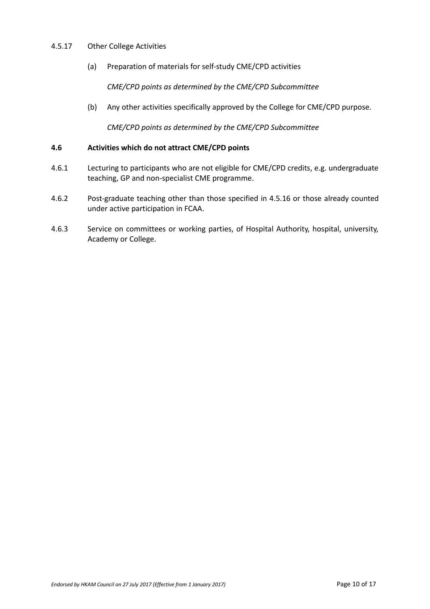#### 4.5.17 Other College Activities

(a) Preparation of materials for self-study CME/CPD activities

*CME/CPD points as determined by the CME/CPD Subcommittee*

(b) Any other activities specifically approved by the College for CME/CPD purpose.

*CME/CPD points as determined by the CME/CPD Subcommittee* 

#### **4.6 Activities which do not attract CME/CPD points**

- 4.6.1 Lecturing to participants who are not eligible for CME/CPD credits, e.g. undergraduate teaching, GP and non-specialist CME programme.
- 4.6.2 Post-graduate teaching other than those specified in 4.5.16 or those already counted under active participation in FCAA.
- 4.6.3 Service on committees or working parties, of Hospital Authority, hospital, university, Academy or College.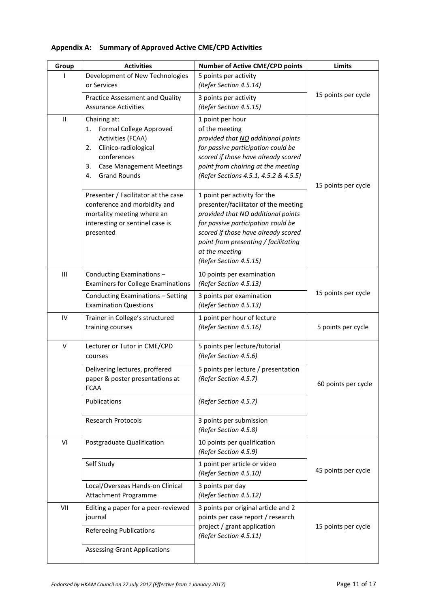| Group        | <b>Activities</b>                                                                                                                                                                     | <b>Number of Active CME/CPD points</b>                                                                                                                                                                                                                                      | Limits              |
|--------------|---------------------------------------------------------------------------------------------------------------------------------------------------------------------------------------|-----------------------------------------------------------------------------------------------------------------------------------------------------------------------------------------------------------------------------------------------------------------------------|---------------------|
|              | Development of New Technologies<br>or Services                                                                                                                                        | 5 points per activity<br>(Refer Section 4.5.14)                                                                                                                                                                                                                             |                     |
|              | Practice Assessment and Quality                                                                                                                                                       | 3 points per activity                                                                                                                                                                                                                                                       | 15 points per cycle |
|              | <b>Assurance Activities</b>                                                                                                                                                           | (Refer Section 4.5.15)                                                                                                                                                                                                                                                      |                     |
| $\mathbf{I}$ | Chairing at:<br>Formal College Approved<br>1.<br>Activities (FCAA)<br>Clinico-radiological<br>2.<br>conferences<br><b>Case Management Meetings</b><br>3.<br><b>Grand Rounds</b><br>4. | 1 point per hour<br>of the meeting<br>provided that NO additional points<br>for passive participation could be<br>scored if those have already scored<br>point from chairing at the meeting<br>(Refer Sections 4.5.1, 4.5.2 & 4.5.5)                                        | 15 points per cycle |
|              | Presenter / Facilitator at the case<br>conference and morbidity and<br>mortality meeting where an<br>interesting or sentinel case is<br>presented                                     | 1 point per activity for the<br>presenter/facilitator of the meeting<br>provided that NO additional points<br>for passive participation could be<br>scored if those have already scored<br>point from presenting / facilitating<br>at the meeting<br>(Refer Section 4.5.15) |                     |
| Ш            | Conducting Examinations -<br><b>Examiners for College Examinations</b>                                                                                                                | 10 points per examination<br>(Refer Section 4.5.13)                                                                                                                                                                                                                         |                     |
|              | Conducting Examinations - Setting<br><b>Examination Questions</b>                                                                                                                     | 3 points per examination<br>(Refer Section 4.5.13)                                                                                                                                                                                                                          | 15 points per cycle |
| IV           | Trainer in College's structured<br>training courses                                                                                                                                   | 1 point per hour of lecture<br>(Refer Section 4.5.16)                                                                                                                                                                                                                       | 5 points per cycle  |
| $\vee$       | Lecturer or Tutor in CME/CPD<br>courses                                                                                                                                               | 5 points per lecture/tutorial<br>(Refer Section 4.5.6)                                                                                                                                                                                                                      |                     |
|              | Delivering lectures, proffered<br>paper & poster presentations at<br><b>FCAA</b>                                                                                                      | 5 points per lecture / presentation<br>(Refer Section 4.5.7)                                                                                                                                                                                                                | 60 points per cycle |
|              | Publications                                                                                                                                                                          | (Refer Section 4.5.7)                                                                                                                                                                                                                                                       |                     |
|              | <b>Research Protocols</b>                                                                                                                                                             | 3 points per submission<br>(Refer Section 4.5.8)                                                                                                                                                                                                                            |                     |
| VI           | Postgraduate Qualification                                                                                                                                                            | 10 points per qualification<br>(Refer Section 4.5.9)                                                                                                                                                                                                                        |                     |
|              | Self Study                                                                                                                                                                            | 1 point per article or video<br>(Refer Section 4.5.10)                                                                                                                                                                                                                      | 45 points per cycle |
|              | Local/Overseas Hands-on Clinical<br>Attachment Programme                                                                                                                              | 3 points per day<br>(Refer Section 4.5.12)                                                                                                                                                                                                                                  |                     |
| VII          | Editing a paper for a peer-reviewed<br>journal                                                                                                                                        | 3 points per original article and 2<br>points per case report / research                                                                                                                                                                                                    |                     |
|              | <b>Refereeing Publications</b>                                                                                                                                                        | project / grant application<br>(Refer Section 4.5.11)                                                                                                                                                                                                                       | 15 points per cycle |
|              | <b>Assessing Grant Applications</b>                                                                                                                                                   |                                                                                                                                                                                                                                                                             |                     |

## **Appendix A: Summary of Approved Active CME/CPD Activities**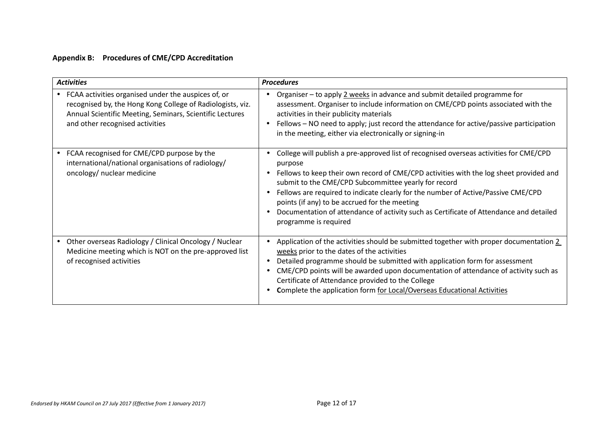### **Appendix B: Procedures of CME/CPD Accreditation**

| <b>Activities</b>                                                                                                                                                                                                | <b>Procedures</b>                                                                                                                                                                                                                                                                                                                                                                                                                                                                                            |
|------------------------------------------------------------------------------------------------------------------------------------------------------------------------------------------------------------------|--------------------------------------------------------------------------------------------------------------------------------------------------------------------------------------------------------------------------------------------------------------------------------------------------------------------------------------------------------------------------------------------------------------------------------------------------------------------------------------------------------------|
| FCAA activities organised under the auspices of, or<br>recognised by, the Hong Kong College of Radiologists, viz.<br>Annual Scientific Meeting, Seminars, Scientific Lectures<br>and other recognised activities | Organiser - to apply 2 weeks in advance and submit detailed programme for<br>assessment. Organiser to include information on CME/CPD points associated with the<br>activities in their publicity materials<br>Fellows – NO need to apply; just record the attendance for active/passive participation<br>in the meeting, either via electronically or signing-in                                                                                                                                             |
| FCAA recognised for CME/CPD purpose by the<br>international/national organisations of radiology/<br>oncology/ nuclear medicine                                                                                   | College will publish a pre-approved list of recognised overseas activities for CME/CPD<br>purpose<br>Fellows to keep their own record of CME/CPD activities with the log sheet provided and<br>submit to the CME/CPD Subcommittee yearly for record<br>Fellows are required to indicate clearly for the number of Active/Passive CME/CPD<br>points (if any) to be accrued for the meeting<br>Documentation of attendance of activity such as Certificate of Attendance and detailed<br>programme is required |
| Other overseas Radiology / Clinical Oncology / Nuclear<br>$\bullet$<br>Medicine meeting which is NOT on the pre-approved list<br>of recognised activities                                                        | Application of the activities should be submitted together with proper documentation 2<br>weeks prior to the dates of the activities<br>Detailed programme should be submitted with application form for assessment<br>CME/CPD points will be awarded upon documentation of attendance of activity such as<br>Certificate of Attendance provided to the College<br>Complete the application form for Local/Overseas Educational Activities                                                                   |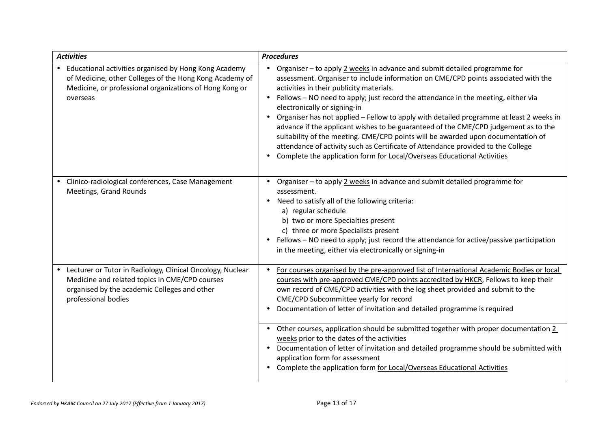| <b>Activities</b>                                                                                                                                                                         | <b>Procedures</b>                                                                                                                                                                                                                                                                                                                                                                                                                                                                                                                                                                                                                                                                                                                                                                               |
|-------------------------------------------------------------------------------------------------------------------------------------------------------------------------------------------|-------------------------------------------------------------------------------------------------------------------------------------------------------------------------------------------------------------------------------------------------------------------------------------------------------------------------------------------------------------------------------------------------------------------------------------------------------------------------------------------------------------------------------------------------------------------------------------------------------------------------------------------------------------------------------------------------------------------------------------------------------------------------------------------------|
| • Educational activities organised by Hong Kong Academy<br>of Medicine, other Colleges of the Hong Kong Academy of<br>Medicine, or professional organizations of Hong Kong or<br>overseas | Organiser - to apply 2 weeks in advance and submit detailed programme for<br>$\bullet$<br>assessment. Organiser to include information on CME/CPD points associated with the<br>activities in their publicity materials.<br>Fellows - NO need to apply; just record the attendance in the meeting, either via<br>electronically or signing-in<br>Organiser has not applied - Fellow to apply with detailed programme at least 2 weeks in<br>$\bullet$<br>advance if the applicant wishes to be guaranteed of the CME/CPD judgement as to the<br>suitability of the meeting. CME/CPD points will be awarded upon documentation of<br>attendance of activity such as Certificate of Attendance provided to the College<br>Complete the application form for Local/Overseas Educational Activities |
| Clinico-radiological conferences, Case Management<br>Meetings, Grand Rounds                                                                                                               | Organiser - to apply 2 weeks in advance and submit detailed programme for<br>assessment.<br>Need to satisfy all of the following criteria:<br>$\bullet$<br>a) regular schedule<br>b) two or more Specialties present<br>c) three or more Specialists present<br>Fellows - NO need to apply; just record the attendance for active/passive participation<br>in the meeting, either via electronically or signing-in                                                                                                                                                                                                                                                                                                                                                                              |
| Lecturer or Tutor in Radiology, Clinical Oncology, Nuclear<br>Medicine and related topics in CME/CPD courses<br>organised by the academic Colleges and other<br>professional bodies       | For courses organised by the pre-approved list of International Academic Bodies or local<br>courses with pre-approved CME/CPD points accredited by HKCR, Fellows to keep their<br>own record of CME/CPD activities with the log sheet provided and submit to the<br>CME/CPD Subcommittee yearly for record<br>Documentation of letter of invitation and detailed programme is required<br>Other courses, application should be submitted together with proper documentation 2<br>weeks prior to the dates of the activities<br>Documentation of letter of invitation and detailed programme should be submitted with<br>$\bullet$<br>application form for assessment<br>Complete the application form for Local/Overseas Educational Activities                                                 |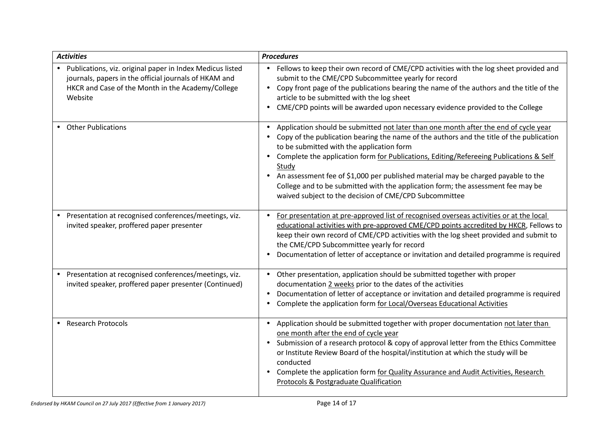| <b>Activities</b>                                                                                                                                                                    | <b>Procedures</b>                                                                                                                                                                                                                                                                                                                                                                                                                                                                                                                                                                                          |
|--------------------------------------------------------------------------------------------------------------------------------------------------------------------------------------|------------------------------------------------------------------------------------------------------------------------------------------------------------------------------------------------------------------------------------------------------------------------------------------------------------------------------------------------------------------------------------------------------------------------------------------------------------------------------------------------------------------------------------------------------------------------------------------------------------|
| • Publications, viz. original paper in Index Medicus listed<br>journals, papers in the official journals of HKAM and<br>HKCR and Case of the Month in the Academy/College<br>Website | Fellows to keep their own record of CME/CPD activities with the log sheet provided and<br>submit to the CME/CPD Subcommittee yearly for record<br>Copy front page of the publications bearing the name of the authors and the title of the<br>$\bullet$<br>article to be submitted with the log sheet<br>CME/CPD points will be awarded upon necessary evidence provided to the College                                                                                                                                                                                                                    |
| <b>Other Publications</b><br>$\bullet$                                                                                                                                               | Application should be submitted not later than one month after the end of cycle year<br>$\bullet$<br>Copy of the publication bearing the name of the authors and the title of the publication<br>to be submitted with the application form<br>Complete the application form for Publications, Editing/Refereeing Publications & Self<br>$\bullet$<br>Study<br>An assessment fee of \$1,000 per published material may be charged payable to the<br>$\bullet$<br>College and to be submitted with the application form; the assessment fee may be<br>waived subject to the decision of CME/CPD Subcommittee |
| • Presentation at recognised conferences/meetings, viz.<br>invited speaker, proffered paper presenter                                                                                | For presentation at pre-approved list of recognised overseas activities or at the local<br>educational activities with pre-approved CME/CPD points accredited by HKCR, Fellows to<br>keep their own record of CME/CPD activities with the log sheet provided and submit to<br>the CME/CPD Subcommittee yearly for record<br>Documentation of letter of acceptance or invitation and detailed programme is required                                                                                                                                                                                         |
| Presentation at recognised conferences/meetings, viz.<br>invited speaker, proffered paper presenter (Continued)                                                                      | Other presentation, application should be submitted together with proper<br>$\bullet$<br>documentation 2 weeks prior to the dates of the activities<br>Documentation of letter of acceptance or invitation and detailed programme is required<br>Complete the application form for Local/Overseas Educational Activities                                                                                                                                                                                                                                                                                   |
| <b>Research Protocols</b>                                                                                                                                                            | Application should be submitted together with proper documentation not later than<br>$\bullet$<br>one month after the end of cycle year<br>Submission of a research protocol & copy of approval letter from the Ethics Committee<br>$\bullet$<br>or Institute Review Board of the hospital/institution at which the study will be<br>conducted<br>Complete the application form for Quality Assurance and Audit Activities, Research<br>Protocols & Postgraduate Qualification                                                                                                                             |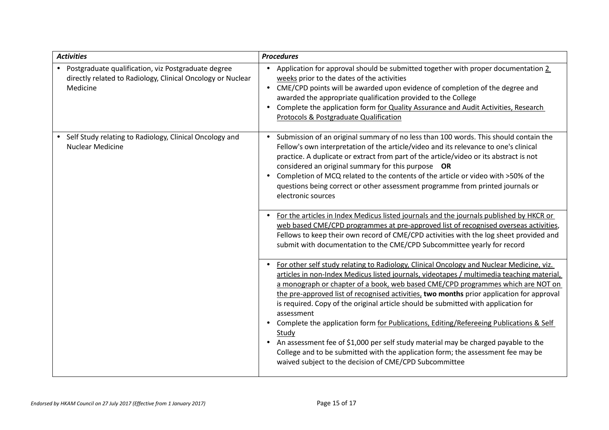| <b>Activities</b>                                                                                                                | <b>Procedures</b>                                                                                                                                                                                                                                                                                                                                                                                                                                                                                                                                                                                                                                                                                                                                                                                                             |
|----------------------------------------------------------------------------------------------------------------------------------|-------------------------------------------------------------------------------------------------------------------------------------------------------------------------------------------------------------------------------------------------------------------------------------------------------------------------------------------------------------------------------------------------------------------------------------------------------------------------------------------------------------------------------------------------------------------------------------------------------------------------------------------------------------------------------------------------------------------------------------------------------------------------------------------------------------------------------|
| • Postgraduate qualification, viz Postgraduate degree<br>directly related to Radiology, Clinical Oncology or Nuclear<br>Medicine | Application for approval should be submitted together with proper documentation 2<br>weeks prior to the dates of the activities<br>CME/CPD points will be awarded upon evidence of completion of the degree and<br>awarded the appropriate qualification provided to the College<br>Complete the application form for Quality Assurance and Audit Activities, Research<br>Protocols & Postgraduate Qualification                                                                                                                                                                                                                                                                                                                                                                                                              |
| • Self Study relating to Radiology, Clinical Oncology and<br><b>Nuclear Medicine</b>                                             | Submission of an original summary of no less than 100 words. This should contain the<br>$\bullet$<br>Fellow's own interpretation of the article/video and its relevance to one's clinical<br>practice. A duplicate or extract from part of the article/video or its abstract is not<br>considered an original summary for this purpose OR<br>Completion of MCQ related to the contents of the article or video with >50% of the<br>questions being correct or other assessment programme from printed journals or<br>electronic sources                                                                                                                                                                                                                                                                                       |
|                                                                                                                                  | For the articles in Index Medicus listed journals and the journals published by HKCR or<br>web based CME/CPD programmes at pre-approved list of recognised overseas activities,<br>Fellows to keep their own record of CME/CPD activities with the log sheet provided and<br>submit with documentation to the CME/CPD Subcommittee yearly for record                                                                                                                                                                                                                                                                                                                                                                                                                                                                          |
|                                                                                                                                  | For other self study relating to Radiology, Clinical Oncology and Nuclear Medicine, viz.<br>articles in non-Index Medicus listed journals, videotapes / multimedia teaching material,<br>a monograph or chapter of a book, web based CME/CPD programmes which are NOT on<br>the pre-approved list of recognised activities, two months prior application for approval<br>is required. Copy of the original article should be submitted with application for<br>assessment<br>Complete the application form for Publications, Editing/Refereeing Publications & Self<br>$\bullet$<br>Study<br>An assessment fee of \$1,000 per self study material may be charged payable to the<br>College and to be submitted with the application form; the assessment fee may be<br>waived subject to the decision of CME/CPD Subcommittee |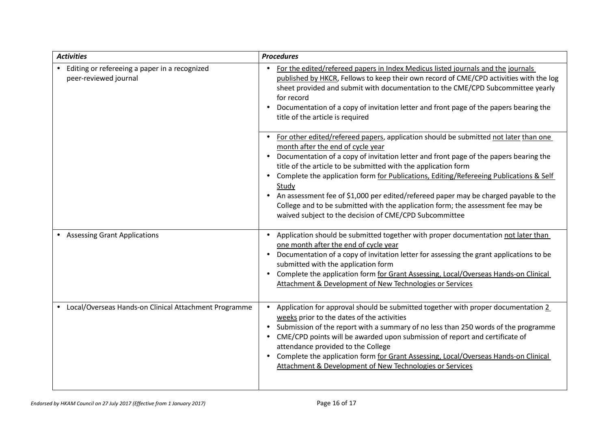| <b>Activities</b>                                                      | <b>Procedures</b>                                                                                                                                                                                                                                                                                                                                                                                                                                                                                                                                                                                                                                       |
|------------------------------------------------------------------------|---------------------------------------------------------------------------------------------------------------------------------------------------------------------------------------------------------------------------------------------------------------------------------------------------------------------------------------------------------------------------------------------------------------------------------------------------------------------------------------------------------------------------------------------------------------------------------------------------------------------------------------------------------|
| Editing or refereeing a paper in a recognized<br>peer-reviewed journal | For the edited/refereed papers in Index Medicus listed journals and the journals<br>published by HKCR, Fellows to keep their own record of CME/CPD activities with the log<br>sheet provided and submit with documentation to the CME/CPD Subcommittee yearly<br>for record<br>Documentation of a copy of invitation letter and front page of the papers bearing the<br>title of the article is required                                                                                                                                                                                                                                                |
|                                                                        | For other edited/refereed papers, application should be submitted not later than one<br>month after the end of cycle year<br>Documentation of a copy of invitation letter and front page of the papers bearing the<br>$\bullet$<br>title of the article to be submitted with the application form<br>Complete the application form for Publications, Editing/Refereeing Publications & Self<br>Study<br>An assessment fee of \$1,000 per edited/refereed paper may be charged payable to the<br>$\bullet$<br>College and to be submitted with the application form; the assessment fee may be<br>waived subject to the decision of CME/CPD Subcommittee |
| • Assessing Grant Applications                                         | Application should be submitted together with proper documentation not later than<br>one month after the end of cycle year<br>Documentation of a copy of invitation letter for assessing the grant applications to be<br>$\bullet$<br>submitted with the application form<br>Complete the application form for Grant Assessing, Local/Overseas Hands-on Clinical<br>$\bullet$<br>Attachment & Development of New Technologies or Services                                                                                                                                                                                                               |
| • Local/Overseas Hands-on Clinical Attachment Programme                | Application for approval should be submitted together with proper documentation 2<br>weeks prior to the dates of the activities<br>Submission of the report with a summary of no less than 250 words of the programme<br>$\bullet$<br>CME/CPD points will be awarded upon submission of report and certificate of<br>attendance provided to the College<br>Complete the application form for Grant Assessing, Local/Overseas Hands-on Clinical<br>$\bullet$<br>Attachment & Development of New Technologies or Services                                                                                                                                 |